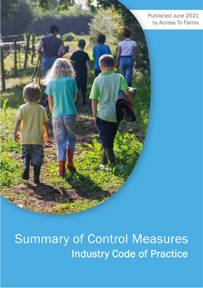Published June 2021 by Access To Farms

**Summary of Control Measures Industry Code of Practice**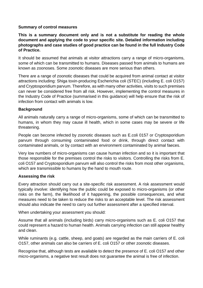## **Summary of control measures**

**This is a summary document only and is not a substitute for reading the whole document and applying the code to your specific site. Detailed information including photographs and case studies of good practice can be found in the full Industry Code of Practice.**

It should be assumed that animals at visitor attractions carry a range of micro-organisms, some of which can be transmitted to humans. Diseases passed from animals to humans are known as zoonoses. Some zoonotic diseases are more serious than others.

There are a range of zoonotic diseases that could be acquired from animal contact at visitor attractions including: Shiga toxin-producing Escherichia coli (STEC) (including E. coli O157) and Cryptosporidium parvum. Therefore, as with many other activities, visits to such premises can never be considered free from all risk. However, implementing the control measures in the Industry Code of Practice (summarised in this guidance) will help ensure that the risk of infection from contact with animals is low.

## **Background**

All animals naturally carry a range of micro-organisms, some of which can be transmitted to humans, in whom they may cause ill health, which in some cases may be severe or life threatening.

People can become infected by zoonotic diseases such as E.coli 0157 or Cryptosporidium parvum through consuming contaminated food or drink, through direct contact with contaminated animals, or by contact with an environment contaminated by animal faeces.

Very low numbers of micro-organisms can cause human infection and so it is important that those responsible for the premises control the risks to visitors. Controlling the risks from E. coli O157 and Cryptosporidium parvum will also control the risks from most other organisms, which are transmissible to humans by the hand to mouth route.

## **Assessing the risk**

Every attraction should carry out a site-specific risk assessment. A risk assessment would typically involve: identifying how the public could be exposed to micro-organisms (or other risks on the farm), the likelihood of it happening, the possible consequences, and what measures need to be taken to reduce the risks to an acceptable level. The risk assessment should also indicate the need to carry out further assessment after a specified interval.

When undertaking your assessment you should:

Assume that all animals (including birds) carry micro-organisms such as E. coli O157 that could represent a hazard to human health. Animals carrying infection can still appear healthy and clean.

While ruminants (e.g. cattle, sheep, and goats) are regarded as the main carriers of E. coli O157, other animals can also be carriers of E. coli O157 or other zoonotic diseases.

Recognise that, although tests are available to detect the presence of E. coli O157 and other micro-organisms, a negative test result does not guarantee the animal is free of infection.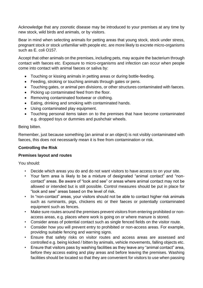Acknowledge that any zoonotic disease may be introduced to your premises at any time by new stock, wild birds and animals, or by visitors.

Bear in mind when selecting animals for petting areas that young stock, stock under stress, pregnant stock or stock unfamiliar with people etc. are more likely to excrete micro-organisms such as E. coli O157.

Accept that other animals on the premises, including pets, may acquire the bacterium through contact with faeces etc. Exposure to micro-organisms and infection can occur when people come into contact with animal faeces or saliva by:

- Touching or kissing animals in petting areas or during bottle-feeding.
- Feeding, stroking or touching animals through gates or pens.
- Touching gates, or animal pen divisions, or other structures contaminated with faeces.
- Picking up contaminated feed from the floor.
- Removing contaminated footwear or clothing.
- Eating, drinking and smoking with contaminated hands.
- Using contaminated play equipment.
- Touching personal items taken on to the premises that have become contaminated e.g. dropped toys or dummies and pushchair wheels.

Being bitten.

Remember, just because something (an animal or an object) is not visibly contaminated with faeces, this does not necessarily mean it is free from contamination or risk.

## **Controlling the Risk**

## **Premises layout and routes**

- Decide which areas you do and do not want visitors to have access to on your site.
- Your farm area is likely to be a mixture of designated "animal contact" and "noncontact" areas. Be aware of "look and see" or areas where animal contact may not be allowed or intended but is still possible. Control measures should be put in place for "look and see" areas based on the level of risk.
- In "non-contact" areas, your visitors should not be able to contact higher risk animals such as ruminants, pigs, chickens etc or their faeces or potentially contaminated equipment such as fences.
- Make sure routes around the premises prevent visitors from entering prohibited or nonaccess areas, e.g. places where work is going on or where manure is stored.
- Consider areas of potential contact such as single fenced fields on the visitor route.
- Consider how you will prevent entry to prohibited or non-access areas. For example, providing suitable fencing and warning signs.
- Ensure that safety risks on visitor routes and access areas are assessed and controlled e.g. being kicked / bitten by animals, vehicle movements, falling objects etc.
- Ensure that visitors pass by washing facilities as they leave any "animal contact" area, before they access eating and play areas and before leaving the premises. Washing facilities should be located so that they are convenient for visitors to use when passing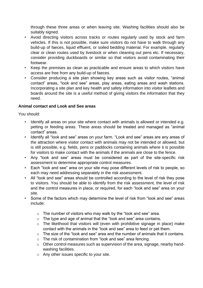through these three areas or when leaving site. Washing facilities should also be suitably signed.

- Avoid directing visitors across tracks or routes regularly used by stock and farm vehicles. If this is not possible, make sure visitors do not have to walk through any build-up of faeces, liquid effluent, or soiled bedding material. For example, regularly clear or clean routes used by livestock or when cleaning out pens etc. If necessary, consider providing duckboards or similar so that visitors avoid contaminating their footwear.
- Keep the premises as clean as practicable and ensure areas to which visitors have access are free from any build-up of faeces.
- Consider producing a site plan showing key areas such as visitor routes, "animal contact" areas, "look and see" areas, play areas, eating areas and wash stations. Incorporating a site plan and key health and safety information into visitor leaflets and boards around the site is a useful method of giving visitors the information that they need.

# **Animal contact and Look and See areas**

- Identify all areas on your site where contact with animals is allowed or intended e.g. petting or feeding areas. These areas should be treated and managed as "animal contact" areas.
- Identify all "look and see" areas on your farm. "Look and see" areas are any areas of the attraction where visitor contact with animals may not be intended or allowed, but is still possible, e.g. fields, pens or paddocks containing animals where it is possible for visitors to make contact with the animals if the animals are close to the fence.
- Any "look and see" areas must be considered as part of the site-specific risk assessment to determine appropriate control measures.
- Each "look and see" area on your site may pose different levels of risk to people, so each may need addressing separately in the risk assessment.
- All "look and see" areas should be controlled according to the level of risk they pose to visitors. You should be able to identify from the risk assessment, the level of risk and the control measures in place, or required, for each "look and see" area on your site.
- Some of the factors which may determine the level of risk from "look and see" areas include:
	- o The number of visitors who may walk by the "look and see" area.
	- o The type and age of animal that the "look and see" area contains.
	- o The likelihood that visitors will (even with prohibitive signage in place) make contact with the animals in the "look and see" area to feed or pet them.
	- $\circ$  The size of the "look and see" area and the number of animals that it contains.
	- o The risk of contamination from "look and see" area fencing.
	- o Other control measures such as supervision of the area, signage, nearby handwashing facilities.
	- o Any other issues specific to your site.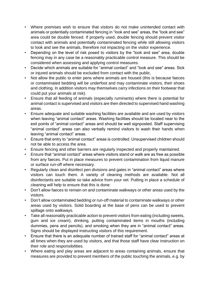- Where premises wish to ensure that visitors do not make unintended contact with animals or potentially contaminated fencing in "look and see" areas, the "look and see" area could be double fenced. If properly used, double fencing should prevent visitor contact with animals and potentially contaminated fencing while still allowing visitors to look and see the animals, therefore not impacting on the visitor experience.
- Depending on the level of risk posed to visitors by the "look and see" area, double fencing may in any case be a reasonably practicable control measure. This should be considered when assessing and applying control measures.
- Decide which animals are suitable for "animal contact" and "look and see" areas. Sick or injured animals should be excluded from contact with the public.
- Not allow the public to enter pens where animals are housed (this is because faeces or contaminated bedding will be underfoot and may contaminate visitors, their shoes and clothing. In addition visitors may themselves carry infections on their footwear that could put your animals at risk).
- Ensure that all feeding of animals (especially ruminants) where there is potential for animal contact is supervised and visitors are then directed to supervised hand washing areas.
- Ensure adequate and suitable washing facilities are available and are used by visitors when leaving "animal contact" areas. Washing facilities should be located near to the exit points of "animal contact" areas and should be well signposted. Staff supervising "animal contact" areas can also verbally remind visitors to wash their hands when leaving "animal contact" areas.
- Ensure that entry to "animal contact" areas is controlled. Unsupervised children should not be able to access the area.
- Ensure fencing and other barriers are regularly inspected and properly maintained.
- Ensure that "animal contact" areas where visitors stand or walk are as free as possible from any faeces. Put in place measures to prevent contamination from liquid manure or surface run-off where necessary.
- Regularly clean and disinfect pen divisions and gates in "animal contact" areas where visitors can touch them. A variety of cleaning methods are available. Not all disinfectants are suitable so take advice from your vet. Putting in place a schedule of cleaning will help to ensure that this is done.
- Don't allow faeces to remain on and contaminate walkways or other areas used by the visitors.
- Don't allow contaminated bedding or run-off material to contaminate walkways or other areas used by visitors. Solid boarding at the base of pens can be used to prevent spillage onto walkways.
- Take all reasonably practicable action to prevent visitors from eating (including sweets, gum and ice cream), drinking, putting contaminated items in mouths (including dummies, pens and pencils), and smoking when they are in "animal contact" areas. Signs should be displayed instructing visitors of this requirement.
- Ensure that there is an adequate number of trained staff for "animal contact" areas at all times when they are used by visitors, and that those staff have clear instruction on their role and responsibilities.
- Where eating and play areas are adjacent to areas containing animals, ensure that measures are provided to prevent members of the public touching the animals, e.g. by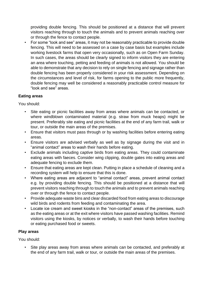providing double fencing. This should be positioned at a distance that will prevent visitors reaching through to touch the animals and to prevent animals reaching over or through the fence to contact people.

• For some "look and see" areas, it may not be reasonably practicable to provide double fencing. This will need to be assessed on a case by case basis but examples include working livestock farms that open very occasionally, such as on Open Farm Sunday. In such cases, the areas should be clearly signed to inform visitors they are entering an area where touching, petting and feeding of animals is not allowed. You should be able to demonstrate that any decision to rely on single fencing and signage rather than double fencing has been properly considered in your risk assessment. Depending on the circumstances and level of risk, for farms opening to the public more frequently, double fencing may well be considered a reasonably practicable control measure for "look and see" areas.

# **Eating areas**

You should:

- Site eating or picnic facilities away from areas where animals can be contacted, or where windblown contaminated material (e.g. straw from muck heaps) might be present. Preferably site eating and picnic facilities at the end of any farm trail, walk or tour, or outside the main areas of the premises.
- Ensure that visitors must pass through or by washing facilities before entering eating areas.
- Ensure visitors are advised verbally as well as by signage during the visit and in "animal contact" areas to wash their hands before eating.
- Exclude animals including captive birds from eating areas. They could contaminate eating areas with faeces. Consider wing clipping, double gates into eating areas and adequate fencing to exclude them.
- Ensure that eating areas are kept clean. Putting in place a schedule of cleaning and a recording system will help to ensure that this is done.
- Where eating areas are adjacent to "animal contact" areas, prevent animal contact e.g. by providing double fencing. This should be positioned at a distance that will prevent visitors reaching through to touch the animals and to prevent animals reaching over or through the fence to contact people.
- Provide adequate waste bins and clear discarded food from eating areas to discourage wild birds and rodents from feeding and contaminating the area.
- Locate ice cream and sweet kiosks in the "non-contact" areas of the premises, such as the eating areas or at the exit where visitors have passed washing facilities. Remind visitors using the kiosks, by notices or verbally, to wash their hands before touching or eating purchased food or sweets.

# **Play areas**

You should:

• Site play areas away from areas where animals can be contacted, and preferably at the end of any farm trail, walk or tour, or outside the main areas of the premises.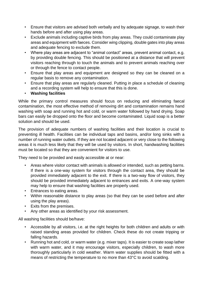- Ensure that visitors are advised both verbally and by adequate signage, to wash their hands before and after using play areas.
- Exclude animals including captive birds from play areas. They could contaminate play areas and equipment with faeces. Consider wing clipping, double gates into play areas and adequate fencing to exclude them.
- Where play areas are adjacent to "animal contact" areas, prevent animal contact, e.g. by providing double fencing. This should be positioned at a distance that will prevent visitors reaching through to touch the animals and to prevent animals reaching over or through the fence to contact people.
- Ensure that play areas and equipment are designed so they can be cleaned on a regular basis to remove any contamination.
- Ensure that play areas are regularly cleaned. Putting in place a schedule of cleaning and a recording system will help to ensure that this is done.
- **Washing facilities**

While the primary control measures should focus on reducing and eliminating faecal contamination, the most effective method of removing dirt and contamination remains hand washing with soap and running hot and cold, or warm water followed by hand drying. Soap bars can easily be dropped onto the floor and become contaminated. Liquid soap is a better solution and should be used.

The provision of adequate numbers of washing facilities and their location is crucial to preventing ill health. Facilities can be individual taps and basins, and/or long sinks with a number of running water outlets. If they are not located adjacent or very close to the following areas it is much less likely that they will be used by visitors. In short, handwashing facilities must be located so that they are convenient for visitors to use.

They need to be provided and easily accessible at or near:

- Areas where visitor contact with animals is allowed or intended, such as petting barns. If there is a one-way system for visitors through the contact area, they should be provided immediately adjacent to the exit. If there is a two-way flow of visitors, they should be provided immediately adjacent to entrances and exits. A one-way system may help to ensure that washing facilities are properly used.
- Entrances to eating areas.
- Within reasonable distance to play areas (so that they can be used before and after using the play areas).
- Exits from the premises.
- Any other areas as identified by your risk assessment.

All washing facilities should be/have:

- Accessible by all visitors, i.e. at the right heights for both children and adults or with raised standing areas provided for children. Check these do not create tripping or falling hazards.
- Running hot and cold, or warm water (e.g. mixer taps). It is easier to create soap lather with warm water, and it may encourage visitors, especially children, to wash more thoroughly particularly in cold weather. Warm water supplies should be fitted with a means of restricting the temperature to no more than 43°C to avoid scalding.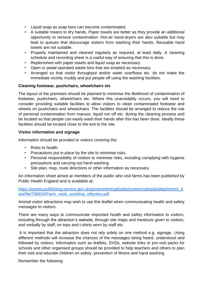- Liquid soap as soap bars can become contaminated.
- A suitable means to dry hands. Paper towels are better as they provide an additional opportunity to remove contamination. Hot-air hand-dryers are also suitable but may lead to queues that discourage visitors from washing their hands. Reusable hand towels are not suitable.
- Properly maintained and cleaned regularly as required, at least daily. A cleaning schedule and recording sheet is a useful way of ensuring that this is done.
- Replenished with paper towels and liquid soap as necessary.
- Open or pedal operated waste bins that are emptied as necessary.
- Arranged so that visitor throughput and/or water overflows etc. do not make the immediate vicinity muddy and put people off using the washing facilities.

## **Cleaning footwear, pushchairs, wheelchairs etc**

The layout of the premises should be planned to minimise the likelihood of contamination of footwear, pushchairs, wheelchairs etc. Where this unavoidably occurs, you will need to consider providing suitable facilities to allow visitors to clean contaminated footwear and wheels on pushchairs and wheelchairs. The facilities should be arranged to reduce the risk of personal contamination from manure, liquid run off etc. during the cleaning process and be located so that people can easily wash their hands after this has been done. Ideally these facilities should be located close to the exit to the site.

## **Visitor information and signage**

Information should be provided to visitors covering the:

- Risks to health.
- Precautions put in place by the site to minimise risks.
- Personal responsibility of visitors to minimise risks, including complying with hygiene precautions and carrying out hand washing.
- Site plan, map, route directions or other information as necessary.

An information sheet aimed at members of the public who visit farms has been published by Public Health England and is available at:

[https://assets.publishing.service.gov.uk/government/uploads/system/uploads/attachment\\_d](https://assets.publishing.service.gov.uk/government/uploads/system/uploads/attachment_data/file/796824/Farm_visits_avoiding_infection.pdf) [ata/file/796824/Farm\\_visits\\_avoiding\\_infection.pdf](https://assets.publishing.service.gov.uk/government/uploads/system/uploads/attachment_data/file/796824/Farm_visits_avoiding_infection.pdf)

Animal visitor attractions may wish to use this leaflet when communicating health and safety messages to visitors.

There are many ways to communicate important health and safety information to visitors, including through the attraction's website, through site maps and handouts given to visitors, and verbally by staff, on tops and t-shirts worn by staff etc.

It is important that the attraction does not rely solely on one method e.g. signage. Using different methods will increase the chances of the messages being heard, understood and followed by visitors. Information such as leaflets, DVDs, website links or pre-visit packs for schools and other organised groups should be provided to help teachers and others to plan their visit and educate children on safety, prevention of illness and hand washing.

Remember the following: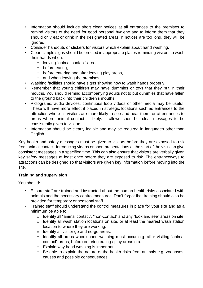- Information should include short clear notices at all entrances to the premises to remind visitors of the need for good personal hygiene and to inform them that they should only eat or drink in the designated areas. If notices are too long, they will be ignored.
- Consider handouts or stickers for visitors which explain about hand washing.
- Clear, simple signs should be erected in appropriate places reminding visitors to wash their hands when:
	- o leaving "animal contact" areas,
	- o before eating,
	- o before entering and after leaving play areas,
	- $\circ$  and when leaving the premises.
- Washing facilities should have signs showing how to wash hands properly.
- Remember that young children may have dummies or toys that they put in their mouths. You should remind accompanying adults not to put dummies that have fallen to the ground back into their children's mouths.
- Pictograms, audio devices, continuous loop videos or other media may be useful. These will have more effect if placed in strategic locations such as entrances to the attraction where all visitors are more likely to see and hear them, or at entrances to areas where animal contact is likely. It allows short but clear messages to be consistently given to visitors.
- Information should be clearly legible and may be required in languages other than English.

Key health and safety messages must be given to visitors before they are exposed to risk from animal contact. Introducing videos or short presentations at the start of the visit can give consistent messages in a specified time. This can also ensure that visitors are verbally given key safety messages at least once before they are exposed to risk. The entranceways to attractions can be designed so that visitors are given key information before moving into the site.

## **Training and supervision**

- Ensure staff are trained and instructed about the human health risks associated with animals and the necessary control measures. Don't forget that training should also be provided for temporary or seasonal staff.
- Trained staff should understand the control measures in place for your site and as a minimum be able to:
	- o Identify all "animal contact", "non-contact" and any "look and see" areas on site.
	- o Identify all wash station locations on site, or at least the nearest wash station location to where they are working.
	- o Identify all visitor go and no-go areas.
	- o Identify all areas where hand washing must occur e.g. after visiting "animal contact" areas, before entering eating / play areas etc.
	- o Explain why hand washing is important.
	- o Be able to explain the nature of the health risks from animals e.g. zoonoses, causes and possible consequences.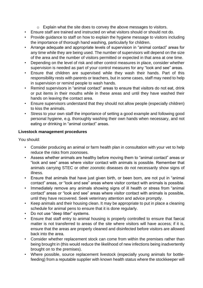- o Explain what the site does to convey the above messages to visitors.
- Ensure staff are trained and instructed on what visitors should or should not do.
- Provide guidance to staff on how to explain the hygiene message to visitors including the importance of thorough hand washing, particularly for children.
- Arrange adequate and appropriate levels of supervision in "animal contact" areas for any time while they are being used. The number of supervisors will depend on the size of the area and the number of visitors permitted or expected in that area at one time.
- Depending on the level of risk and other control measures in place, consider whether supervision is needed as part of your control measures for any "look and see" areas.
- Ensure that children are supervised while they wash their hands. Part of this responsibility rests with parents or teachers, but in some cases, staff may need to help in supervision or remind people to wash hands.
- Remind supervisors in "animal contact" areas to ensure that visitors do not eat, drink or put items in their mouths while in these areas and until they have washed their hands on leaving the contact area.
- Ensure supervisors understand that they should not allow people (especially children) to kiss the animals.
- Stress to your own staff the importance of setting a good example and following good personal hygiene, e.g. thoroughly washing their own hands when necessary, and not eating or drinking in "animal contact" areas.

# **Livestock management procedures**

- Consider producing an animal or farm health plan in consultation with your vet to help reduce the risks from zoonoses.
- Assess whether animals are healthy before moving them to "animal contact" areas or "look and see" areas where visitor contact with animals is possible. Remember that animals carrying STEC or other zoonotic diseases do not necessarily show signs of illness.
- Ensure that animals that have just given birth, or been born, are not put in "animal contact" areas, or "look and see" areas where visitor contact with animals is possible.
- Immediately remove any animals showing signs of ill health or stress from "animal contact" areas or "look and see" areas where visitor contact with animals is possible, until they have recovered. Seek veterinary attention and advice promptly.
- Keep animals and their housing clean. It may be appropriate to put in place a cleaning schedule for animal pens to ensure that it is done regularly.
- Do not use "deep litter" systems.
- Ensure that staff entry to animal housing is properly controlled to ensure that faecal matter is not transferred to areas of the site where visitors will have access; if it is, ensure that the areas are properly cleaned and disinfected before visitors are allowed back into the area.
- Consider whether replacement stock can come from within the premises rather than being brought in (this would reduce the likelihood of new infections being inadvertently brought on to the premises).
- Where possible, source replacement livestock (especially young animals for bottlefeeding) from a reputable supplier with known health status where the stockkeeper will